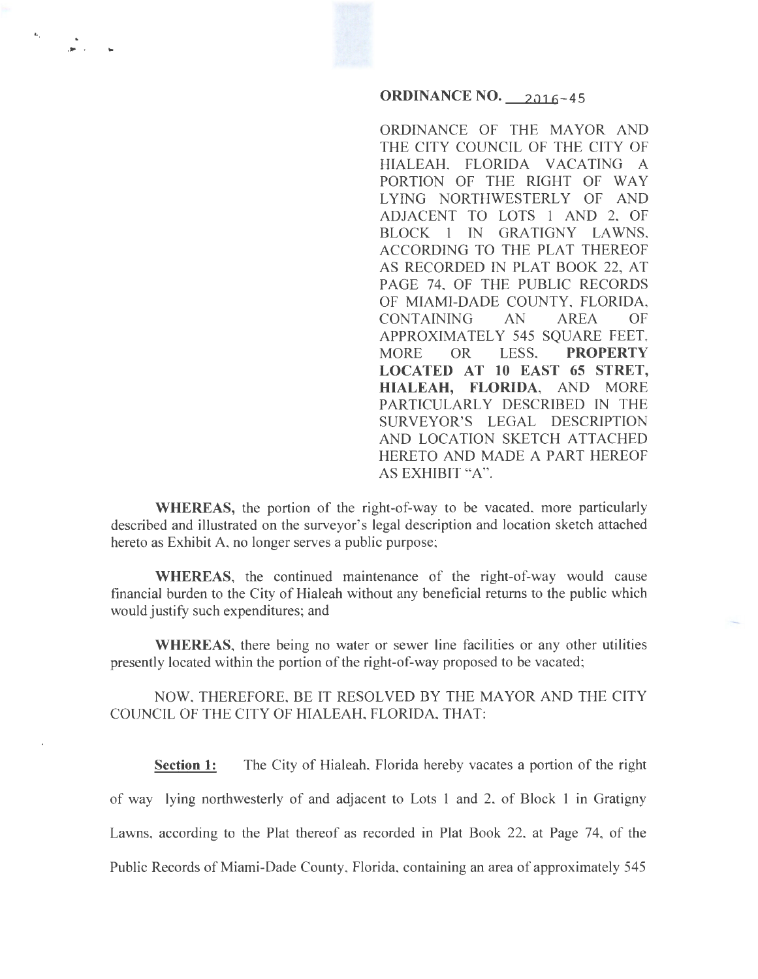## **ORDINANCE NO.** 2016-45

ORDINANCE OF THE MAYOR AND THE CITY COUNCIL OF THE CITY OF HIALEAH, FLORIDA VACATING A PORTION OF THE RIGHT OF WAY LYING NORTHWESTERLY OF AND ADJACENT TO LOTS 1 AND 2, OF BLOCK 1 IN GRATIGNY LAWNS, ACCORDING TO THE PLAT THEREOF AS RECORDED IN PLAT BOOK 22, AT PAGE 74, OF THE PUBLIC RECORDS OF MIAMI-DADE COUNTY, FLORIDA, CONTAINING AN AREA OF APPROXIMATELY 545 SQUARE FEET, MORE OR LESS, **PROPERTY LOCATED AT 10 EAST 65 STRET, HIALEAH, FLORIDA,** AND MORE PARTICULARLY DESCRIBED IN THE SURVEYOR'S LEGAL DESCRIPTION AND LOCATION SKETCH ATTACHED HERETO AND MADE A PART HEREOF AS EXHIBIT "A".

**WHEREAS,** the portion of the right-of-way to be vacated, more particularly described and illustrated on the surveyor's legal description and location sketch attached hereto as Exhibit A, no longer serves a public purpose;

L,

... . ..

**WHEREAS,** the continued maintenance of the right-of-way would cause financial burden to the City of Hialeah without any beneficial returns to the public which would justify such expenditures; and

**WHEREAS,** there being no water or sewer line facilities or any other utilities presently located within the portion of the right-of-way proposed to be vacated;

NOW, THEREFORE, BE IT RESOLVED BY THE MAYOR AND THE CITY COUNCIL OF THE CITY OF HIALEAH, FLORIDA, THAT:

**Section 1:** The City of Hialeah, Florida hereby vacates a portion of the right of way lying northwesterly of and adjacent to Lots 1 and 2, of Block 1 in Gratigny Lawns, according to the Plat thereof as recorded in Plat Book 22, at Page 74, of the Public Records of Miami-Dade County, Florida, containing an area of approximately 545